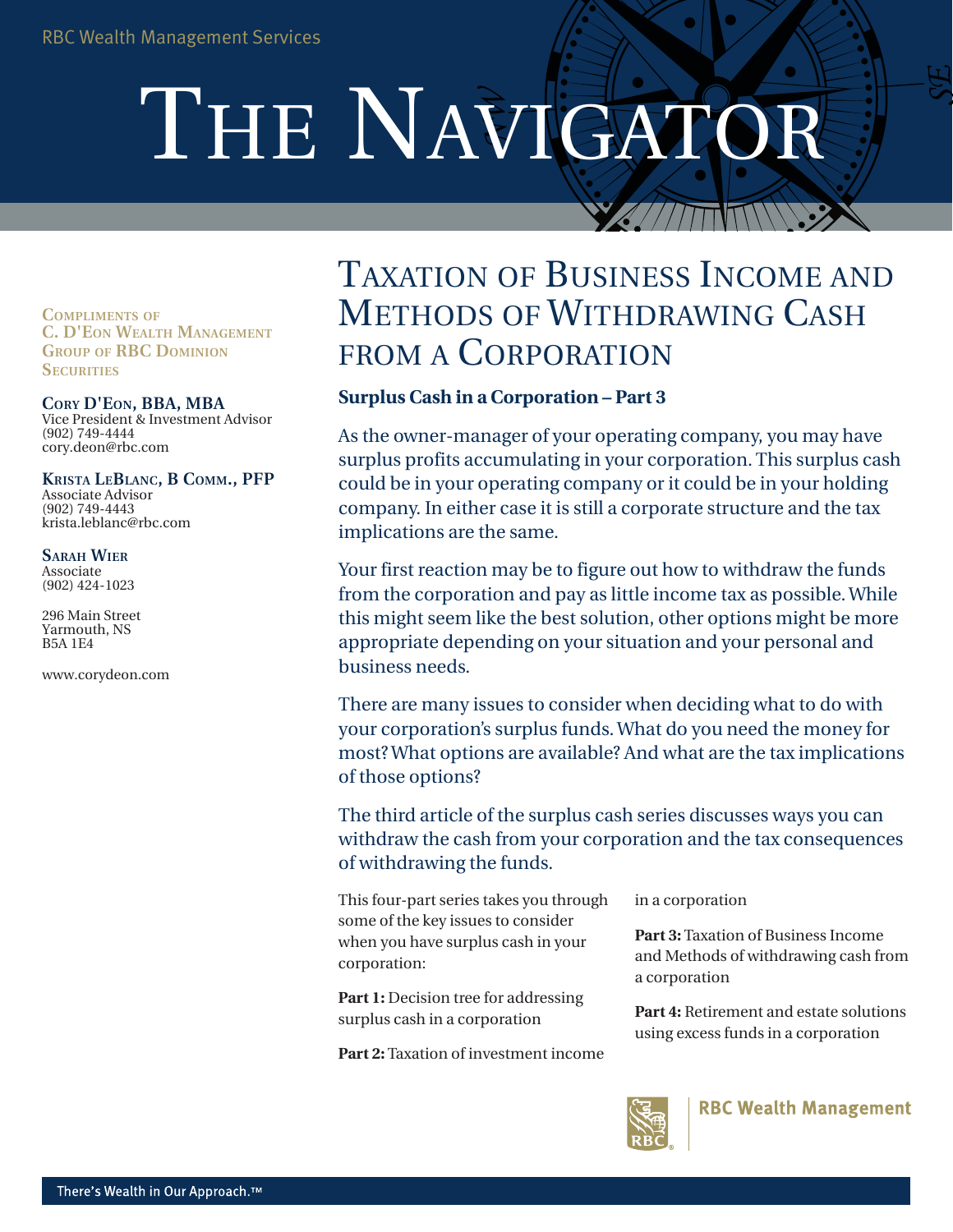# THE NAVIGATOR

**COMPLIMENTS OF C. D'EON WEALTH MANAGEMENT GROUP OF RBC DOMINION SECURITIES** 

### **CORY D'EON, BBA, MBA**

Vice President & Investment Advisor (902) 749-4444 cory.deon@rbc.com

KRISTA LEBLANC, B COMM., PFP Associate Advisor (902) 749-4443 krista.leblanc@rbc.com

**SARAH WIER** Associate (902) 424-1023

296 Main Street Yarmouth, NS B5A 1E4

www.corydeon.com

# Taxation of Business Income and METHODS OF WITHDRAWING CASH FROM A CORPORATION

# **Surplus Cash in a Corporation – Part 3**

As the owner-manager of your operating company, you may have surplus profits accumulating in your corporation. This surplus cash could be in your operating company or it could be in your holding company. In either case it is still a corporate structure and the tax implications are the same.

Your first reaction may be to figure out how to withdraw the funds from the corporation and pay as little income tax as possible. While this might seem like the best solution, other options might be more appropriate depending on your situation and your personal and business needs.

There are many issues to consider when deciding what to do with your corporation's surplus funds. What do you need the money for most? What options are available? And what are the tax implications of those options?

The third article of the surplus cash series discusses ways you can withdraw the cash from your corporation and the tax consequences of withdrawing the funds.

This four-part series takes you through some of the key issues to consider when you have surplus cash in your corporation:

**Part 1:** Decision tree for addressing surplus cash in a corporation

**Part 2:** Taxation of investment income

in a corporation

**Part 3:** Taxation of Business Income and Methods of withdrawing cash from a corporation

**Part 4:** Retirement and estate solutions using excess funds in a corporation

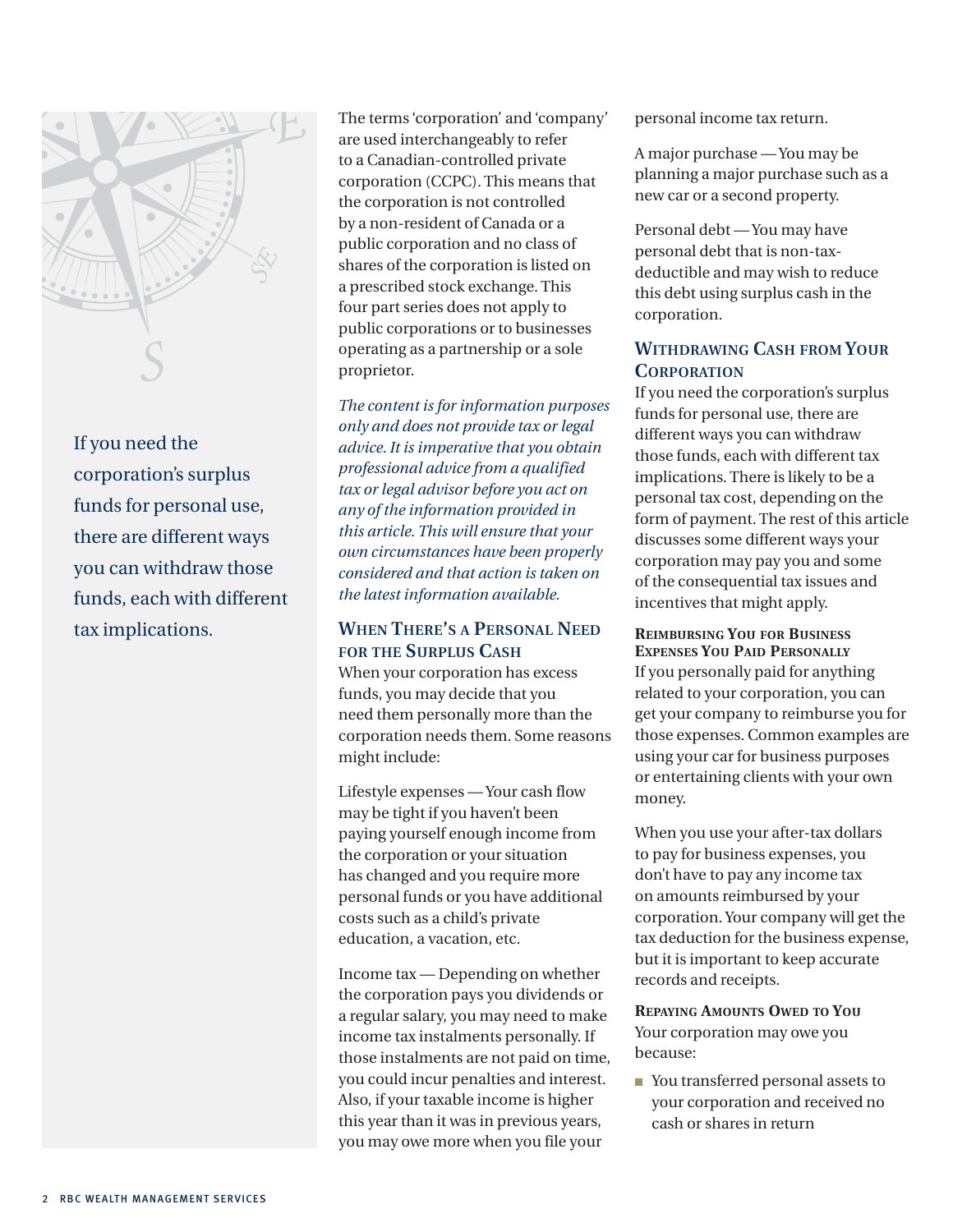

If you need the corporation's surplus funds for personal use, there are different ways you can withdraw those funds, each with different tax implications.

The terms 'corporation' and 'company' are used interchangeably to refer to a Canadian-controlled private corporation (CCPC). This means that the corporation is not controlled by a non-resident of Canada or a public corporation and no class of shares of the corporation is listed on a prescribed stock exchange. This four part series does not apply to public corporations or to businesses operating as a partnership or a sole proprietor.

*The content is for information purposes only and does not provide tax or legal advice. It is imperative that you obtain professional advice from a qualified tax or legal advisor before you act on any of the information provided in this article. This will ensure that your own circumstances have been properly considered and that action is taken on the latest information available.* 

## **When There's a Personal Need for the Surplus Cash**

When your corporation has excess funds, you may decide that you need them personally more than the corporation needs them. Some reasons might include:

Lifestyle expenses — Your cash flow may be tight if you haven't been paying yourself enough income from the corporation or your situation has changed and you require more personal funds or you have additional costs such as a child's private education, a vacation, etc.

Income tax — Depending on whether the corporation pays you dividends or a regular salary, you may need to make income tax instalments personally. If those instalments are not paid on time, you could incur penalties and interest. Also, if your taxable income is higher this year than it was in previous years, you may owe more when you file your

personal income tax return.

A major purchase — You may be planning a major purchase such as a new car or a second property.

Personal debt — You may have personal debt that is non-taxdeductible and may wish to reduce this debt using surplus cash in the corporation.

# **Withdrawing Cash from Your Corporation**

If you need the corporation's surplus funds for personal use, there are different ways you can withdraw those funds, each with different tax implications. There is likely to be a personal tax cost, depending on the form of payment. The rest of this article discusses some different ways your corporation may pay you and some of the consequential tax issues and incentives that might apply.

**Reimbursing You for Business Expenses You Paid Personally** If you personally paid for anything related to your corporation, you can get your company to reimburse you for those expenses. Common examples are using your car for business purposes or entertaining clients with your own money.

When you use your after-tax dollars to pay for business expenses, you don't have to pay any income tax on amounts reimbursed by your corporation. Your company will get the tax deduction for the business expense, but it is important to keep accurate records and receipts.

**Repaying Amounts Owed to You** Your corporation may owe you because:

■ You transferred personal assets to your corporation and received no cash or shares in return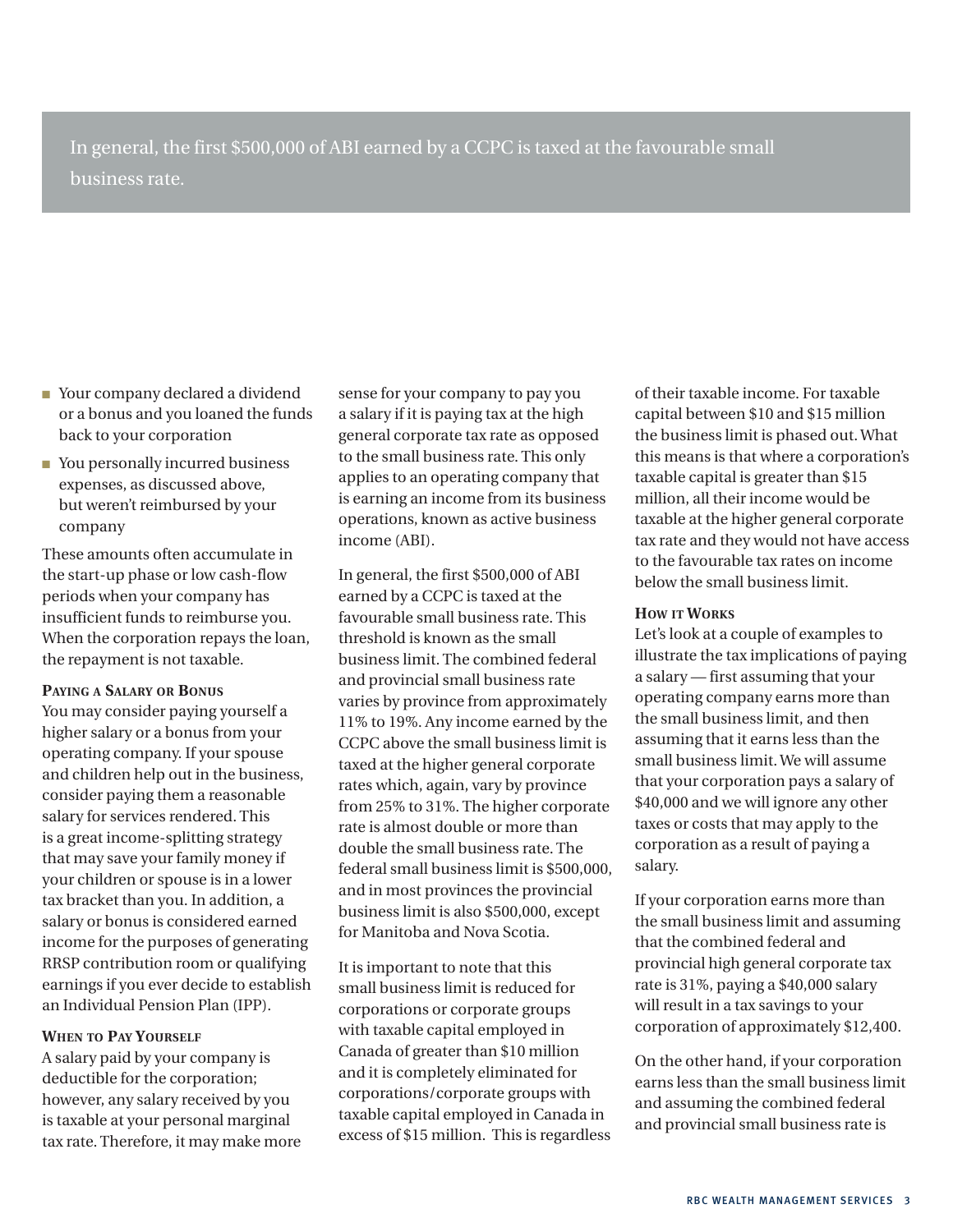In general, the first \$500,000 of ABI earned by a CCPC is taxed at the favourable small business rate.

- Your company declared a dividend or a bonus and you loaned the funds back to your corporation
- You personally incurred business expenses, as discussed above, but weren't reimbursed by your company

These amounts often accumulate in the start-up phase or low cash-flow periods when your company has insufficient funds to reimburse you. When the corporation repays the loan, the repayment is not taxable.

#### **Paying a Salary or Bonus**

You may consider paying yourself a higher salary or a bonus from your operating company. If your spouse and children help out in the business, consider paying them a reasonable salary for services rendered. This is a great income-splitting strategy that may save your family money if your children or spouse is in a lower tax bracket than you. In addition, a salary or bonus is considered earned income for the purposes of generating RRSP contribution room or qualifying earnings if you ever decide to establish an Individual Pension Plan (IPP).

#### **When to Pay Yourself**

A salary paid by your company is deductible for the corporation; however, any salary received by you is taxable at your personal marginal tax rate. Therefore, it may make more sense for your company to pay you a salary if it is paying tax at the high general corporate tax rate as opposed to the small business rate. This only applies to an operating company that is earning an income from its business operations, known as active business income (ABI).

In general, the first \$500,000 of ABI earned by a CCPC is taxed at the favourable small business rate. This threshold is known as the small business limit. The combined federal and provincial small business rate varies by province from approximately 11% to 19%. Any income earned by the CCPC above the small business limit is taxed at the higher general corporate rates which, again, vary by province from 25% to 31%. The higher corporate rate is almost double or more than double the small business rate. The federal small business limit is \$500,000, and in most provinces the provincial business limit is also \$500,000, except for Manitoba and Nova Scotia.

It is important to note that this small business limit is reduced for corporations or corporate groups with taxable capital employed in Canada of greater than \$10 million and it is completely eliminated for corporations/corporate groups with taxable capital employed in Canada in excess of \$15 million. This is regardless

of their taxable income. For taxable capital between \$10 and \$15 million the business limit is phased out. What this means is that where a corporation's taxable capital is greater than \$15 million, all their income would be taxable at the higher general corporate tax rate and they would not have access to the favourable tax rates on income below the small business limit.

#### **How it Works**

Let's look at a couple of examples to illustrate the tax implications of paying a salary — first assuming that your operating company earns more than the small business limit, and then assuming that it earns less than the small business limit. We will assume that your corporation pays a salary of \$40,000 and we will ignore any other taxes or costs that may apply to the corporation as a result of paying a salary.

If your corporation earns more than the small business limit and assuming that the combined federal and provincial high general corporate tax rate is 31%, paying a \$40,000 salary will result in a tax savings to your corporation of approximately \$12,400.

On the other hand, if your corporation earns less than the small business limit and assuming the combined federal and provincial small business rate is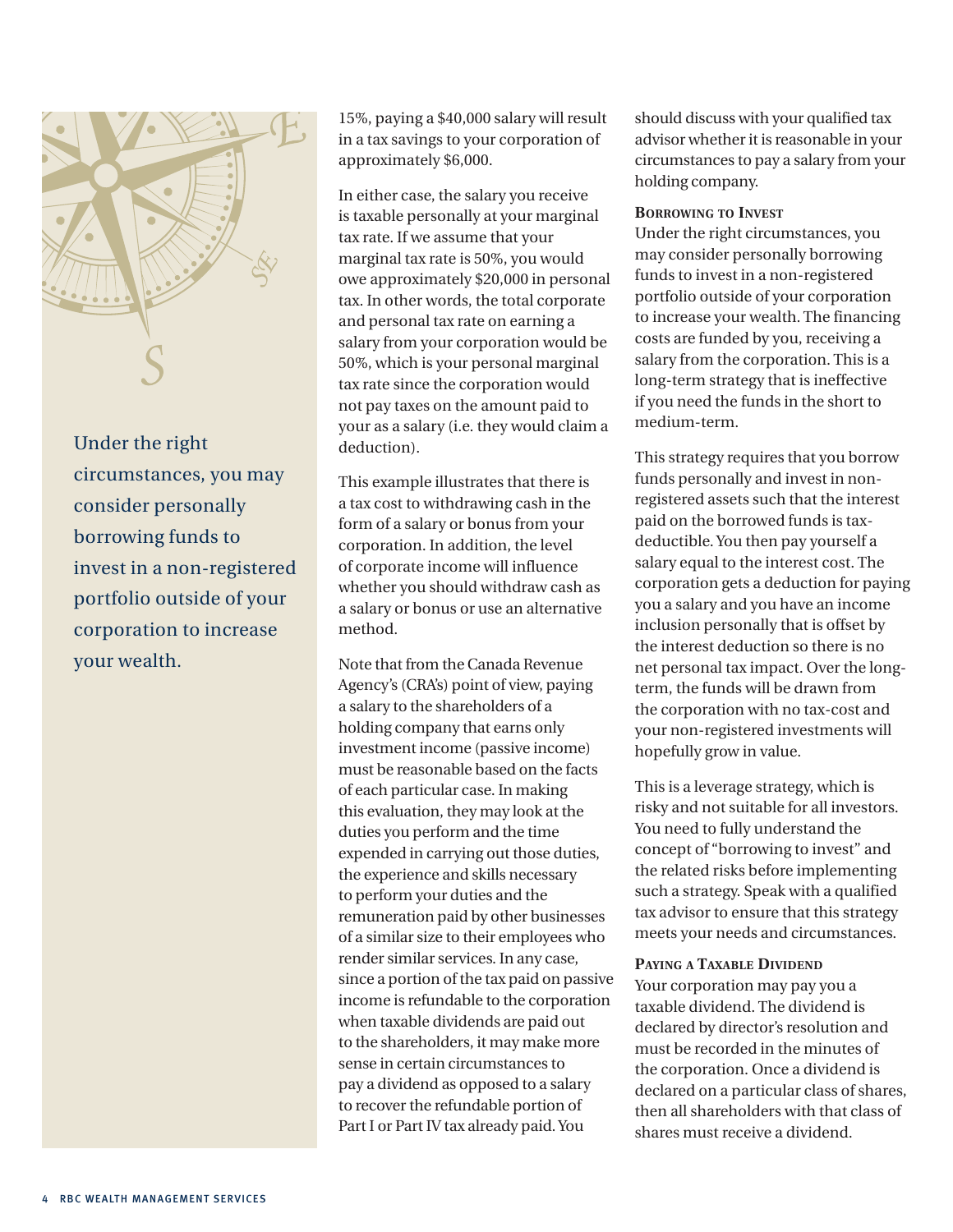

Under the right circumstances, you may consider personally borrowing funds to invest in a non-registered portfolio outside of your corporation to increase your wealth.

15%, paying a \$40,000 salary will result in a tax savings to your corporation of approximately \$6,000.

In either case, the salary you receive is taxable personally at your marginal tax rate. If we assume that your marginal tax rate is 50%, you would owe approximately \$20,000 in personal tax. In other words, the total corporate and personal tax rate on earning a salary from your corporation would be 50%, which is your personal marginal tax rate since the corporation would not pay taxes on the amount paid to your as a salary (i.e. they would claim a deduction).

This example illustrates that there is a tax cost to withdrawing cash in the form of a salary or bonus from your corporation. In addition, the level of corporate income will influence whether you should withdraw cash as a salary or bonus or use an alternative method.

Note that from the Canada Revenue Agency's (CRA's) point of view, paying a salary to the shareholders of a holding company that earns only investment income (passive income) must be reasonable based on the facts of each particular case. In making this evaluation, they may look at the duties you perform and the time expended in carrying out those duties, the experience and skills necessary to perform your duties and the remuneration paid by other businesses of a similar size to their employees who render similar services. In any case, since a portion of the tax paid on passive income is refundable to the corporation when taxable dividends are paid out to the shareholders, it may make more sense in certain circumstances to pay a dividend as opposed to a salary to recover the refundable portion of Part I or Part IV tax already paid. You

should discuss with your qualified tax advisor whether it is reasonable in your circumstances to pay a salary from your holding company.

#### **Borrowing to Invest**

Under the right circumstances, you may consider personally borrowing funds to invest in a non-registered portfolio outside of your corporation to increase your wealth. The financing costs are funded by you, receiving a salary from the corporation. This is a long-term strategy that is ineffective if you need the funds in the short to medium-term.

This strategy requires that you borrow funds personally and invest in nonregistered assets such that the interest paid on the borrowed funds is taxdeductible. You then pay yourself a salary equal to the interest cost. The corporation gets a deduction for paying you a salary and you have an income inclusion personally that is offset by the interest deduction so there is no net personal tax impact. Over the longterm, the funds will be drawn from the corporation with no tax-cost and your non-registered investments will hopefully grow in value.

This is a leverage strategy, which is risky and not suitable for all investors. You need to fully understand the concept of "borrowing to invest" and the related risks before implementing such a strategy. Speak with a qualified tax advisor to ensure that this strategy meets your needs and circumstances.

#### **Paying a Taxable Dividend**

Your corporation may pay you a taxable dividend. The dividend is declared by director's resolution and must be recorded in the minutes of the corporation. Once a dividend is declared on a particular class of shares, then all shareholders with that class of shares must receive a dividend.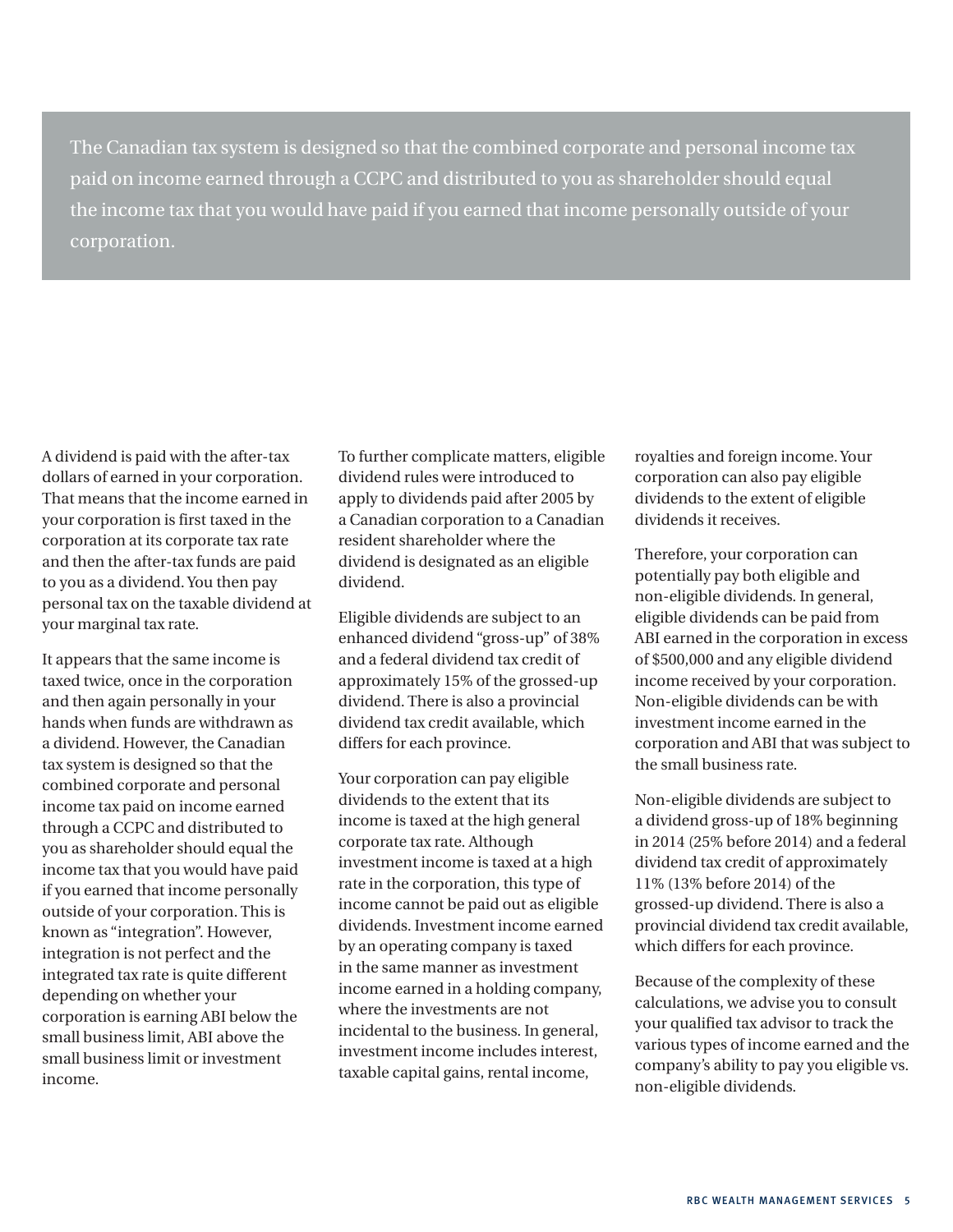The Canadian tax system is designed so that the combined corporate and personal income tax paid on income earned through a CCPC and distributed to you as shareholder should equal the income tax that you would have paid if you earned that income personally outside of your corporation.

A dividend is paid with the after-tax dollars of earned in your corporation. That means that the income earned in your corporation is first taxed in the corporation at its corporate tax rate and then the after-tax funds are paid to you as a dividend. You then pay personal tax on the taxable dividend at your marginal tax rate.

It appears that the same income is taxed twice, once in the corporation and then again personally in your hands when funds are withdrawn as a dividend. However, the Canadian tax system is designed so that the combined corporate and personal income tax paid on income earned through a CCPC and distributed to you as shareholder should equal the income tax that you would have paid if you earned that income personally outside of your corporation. This is known as "integration". However, integration is not perfect and the integrated tax rate is quite different depending on whether your corporation is earning ABI below the small business limit, ABI above the small business limit or investment income.

To further complicate matters, eligible dividend rules were introduced to apply to dividends paid after 2005 by a Canadian corporation to a Canadian resident shareholder where the dividend is designated as an eligible dividend.

Eligible dividends are subject to an enhanced dividend "gross-up" of 38% and a federal dividend tax credit of approximately 15% of the grossed-up dividend. There is also a provincial dividend tax credit available, which differs for each province.

Your corporation can pay eligible dividends to the extent that its income is taxed at the high general corporate tax rate. Although investment income is taxed at a high rate in the corporation, this type of income cannot be paid out as eligible dividends. Investment income earned by an operating company is taxed in the same manner as investment income earned in a holding company, where the investments are not incidental to the business. In general, investment income includes interest, taxable capital gains, rental income,

royalties and foreign income. Your corporation can also pay eligible dividends to the extent of eligible dividends it receives.

Therefore, your corporation can potentially pay both eligible and non-eligible dividends. In general, eligible dividends can be paid from ABI earned in the corporation in excess of \$500,000 and any eligible dividend income received by your corporation. Non-eligible dividends can be with investment income earned in the corporation and ABI that was subject to the small business rate.

Non-eligible dividends are subject to a dividend gross-up of 18% beginning in 2014 (25% before 2014) and a federal dividend tax credit of approximately 11% (13% before 2014) of the grossed-up dividend. There is also a provincial dividend tax credit available, which differs for each province.

Because of the complexity of these calculations, we advise you to consult your qualified tax advisor to track the various types of income earned and the company's ability to pay you eligible vs. non-eligible dividends.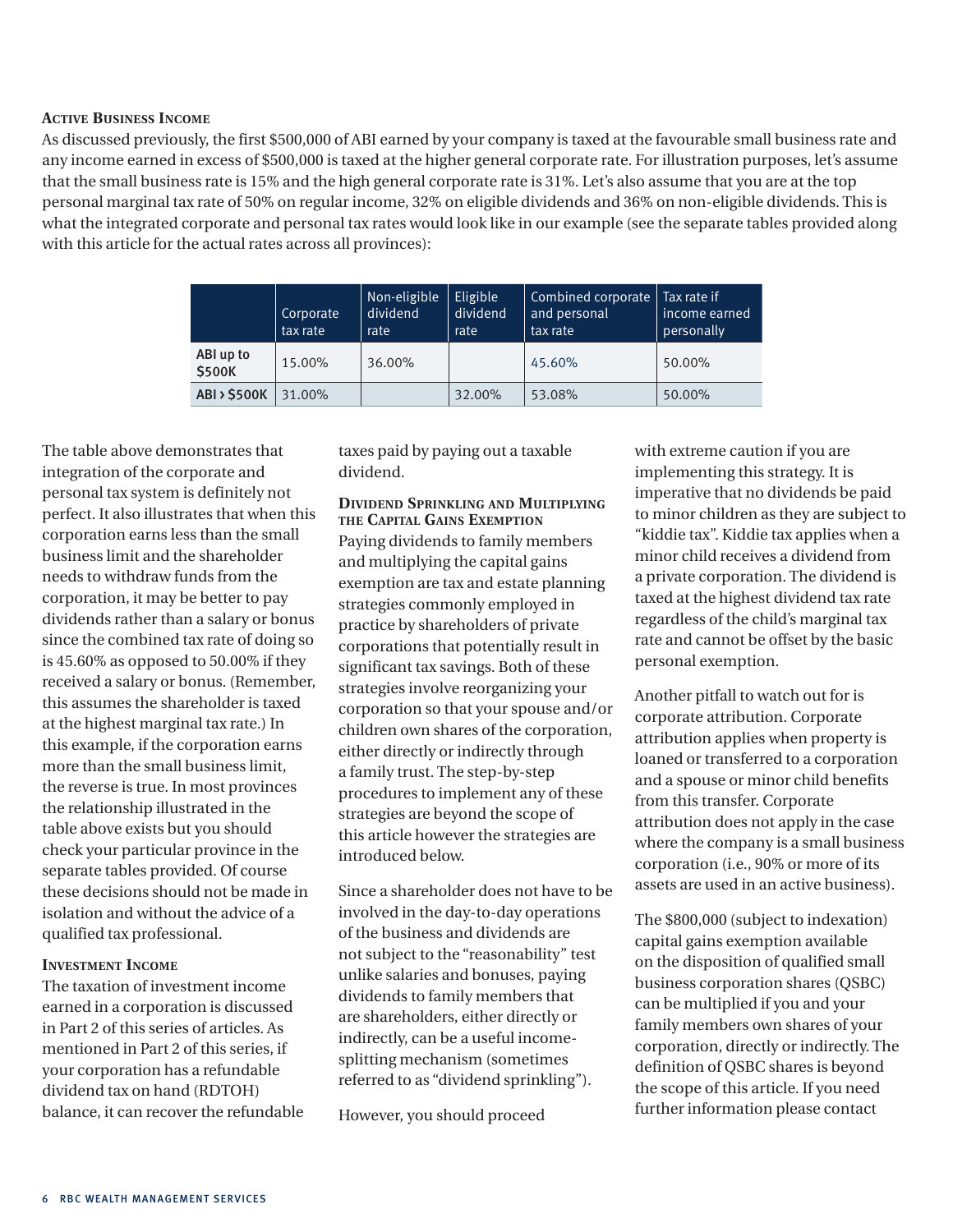#### **Active Business Income**

As discussed previously, the first \$500,000 of ABI earned by your company is taxed at the favourable small business rate and any income earned in excess of \$500,000 is taxed at the higher general corporate rate. For illustration purposes, let's assume that the small business rate is 15% and the high general corporate rate is 31%. Let's also assume that you are at the top personal marginal tax rate of 50% on regular income, 32% on eligible dividends and 36% on non-eligible dividends. This is what the integrated corporate and personal tax rates would look like in our example (see the separate tables provided along with this article for the actual rates across all provinces):

|                           | Corporate<br>tax rate | Non-eligible<br>dividend<br>rate | Eligible<br>dividend<br>rate | Combined corporate<br>and personal<br>tax rate | Tax rate if<br>income earned<br>personally |
|---------------------------|-----------------------|----------------------------------|------------------------------|------------------------------------------------|--------------------------------------------|
| ABI up to<br><b>S500K</b> | 15.00%                | 36.00%                           |                              | 45.60%                                         | 50.00%                                     |
| <b>ABI &gt; \$500K</b>    | 31.00%                |                                  | 32.00%                       | 53.08%                                         | 50.00%                                     |

The table above demonstrates that integration of the corporate and personal tax system is definitely not perfect. It also illustrates that when this corporation earns less than the small business limit and the shareholder needs to withdraw funds from the corporation, it may be better to pay dividends rather than a salary or bonus since the combined tax rate of doing so is 45.60% as opposed to 50.00% if they received a salary or bonus. (Remember, this assumes the shareholder is taxed at the highest marginal tax rate.) In this example, if the corporation earns more than the small business limit, the reverse is true. In most provinces the relationship illustrated in the table above exists but you should check your particular province in the separate tables provided. Of course these decisions should not be made in isolation and without the advice of a qualified tax professional.

#### **Investment Income**

The taxation of investment income earned in a corporation is discussed in Part 2 of this series of articles. As mentioned in Part 2 of this series, if your corporation has a refundable dividend tax on hand (RDTOH) balance, it can recover the refundable taxes paid by paying out a taxable dividend.

#### **Dividend Sprinkling and Multiplying the Capital Gains Exemption**

Paying dividends to family members and multiplying the capital gains exemption are tax and estate planning strategies commonly employed in practice by shareholders of private corporations that potentially result in significant tax savings. Both of these strategies involve reorganizing your corporation so that your spouse and/or children own shares of the corporation, either directly or indirectly through a family trust. The step-by-step procedures to implement any of these strategies are beyond the scope of this article however the strategies are introduced below.

Since a shareholder does not have to be involved in the day-to-day operations of the business and dividends are not subject to the "reasonability" test unlike salaries and bonuses, paying dividends to family members that are shareholders, either directly or indirectly, can be a useful incomesplitting mechanism (sometimes referred to as "dividend sprinkling").

However, you should proceed

with extreme caution if you are implementing this strategy. It is imperative that no dividends be paid to minor children as they are subject to "kiddie tax". Kiddie tax applies when a minor child receives a dividend from a private corporation. The dividend is taxed at the highest dividend tax rate regardless of the child's marginal tax rate and cannot be offset by the basic personal exemption.

Another pitfall to watch out for is corporate attribution. Corporate attribution applies when property is loaned or transferred to a corporation and a spouse or minor child benefits from this transfer. Corporate attribution does not apply in the case where the company is a small business corporation (i.e., 90% or more of its assets are used in an active business).

The \$800,000 (subject to indexation) capital gains exemption available on the disposition of qualified small business corporation shares (QSBC) can be multiplied if you and your family members own shares of your corporation, directly or indirectly. The definition of QSBC shares is beyond the scope of this article. If you need further information please contact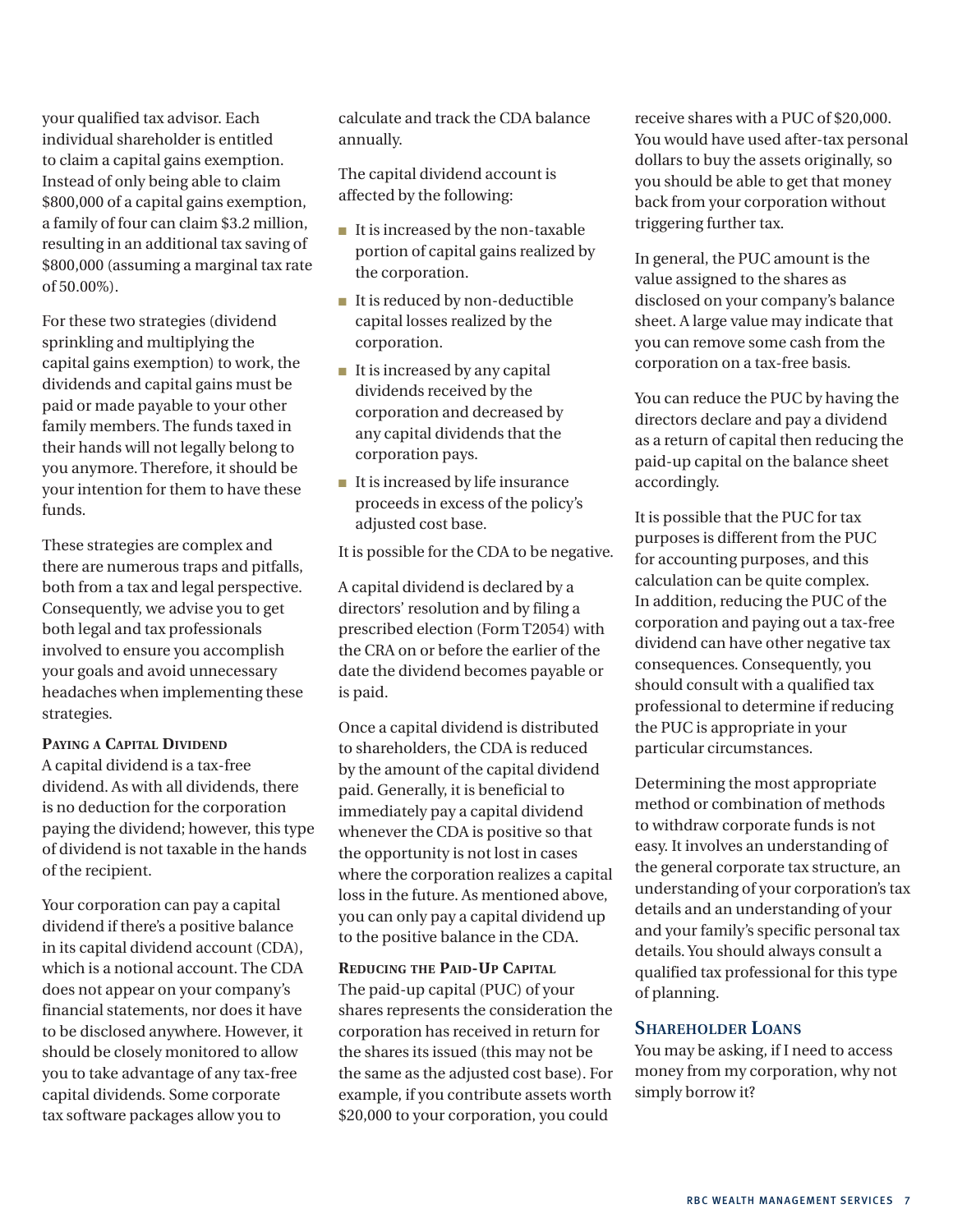your qualified tax advisor. Each individual shareholder is entitled to claim a capital gains exemption. Instead of only being able to claim \$800,000 of a capital gains exemption, a family of four can claim \$3.2 million, resulting in an additional tax saving of \$800,000 (assuming a marginal tax rate of 50.00%).

For these two strategies (dividend sprinkling and multiplying the capital gains exemption) to work, the dividends and capital gains must be paid or made payable to your other family members. The funds taxed in their hands will not legally belong to you anymore. Therefore, it should be your intention for them to have these funds.

These strategies are complex and there are numerous traps and pitfalls, both from a tax and legal perspective. Consequently, we advise you to get both legal and tax professionals involved to ensure you accomplish your goals and avoid unnecessary headaches when implementing these strategies.

#### **Paying a Capital Dividend**

A capital dividend is a tax-free dividend. As with all dividends, there is no deduction for the corporation paying the dividend; however, this type of dividend is not taxable in the hands of the recipient.

Your corporation can pay a capital dividend if there's a positive balance in its capital dividend account (CDA), which is a notional account. The CDA does not appear on your company's financial statements, nor does it have to be disclosed anywhere. However, it should be closely monitored to allow you to take advantage of any tax-free capital dividends. Some corporate tax software packages allow you to

calculate and track the CDA balance annually.

The capital dividend account is affected by the following:

- It is increased by the non-taxable portion of capital gains realized by the corporation.
- It is reduced by non-deductible capital losses realized by the corporation.
- It is increased by any capital dividends received by the corporation and decreased by any capital dividends that the corporation pays.
- It is increased by life insurance proceeds in excess of the policy's adjusted cost base.

It is possible for the CDA to be negative.

A capital dividend is declared by a directors' resolution and by filing a prescribed election (Form T2054) with the CRA on or before the earlier of the date the dividend becomes payable or is paid.

Once a capital dividend is distributed to shareholders, the CDA is reduced by the amount of the capital dividend paid. Generally, it is beneficial to immediately pay a capital dividend whenever the CDA is positive so that the opportunity is not lost in cases where the corporation realizes a capital loss in the future. As mentioned above, you can only pay a capital dividend up to the positive balance in the CDA.

#### **Reducing the Paid-Up Capital**

The paid-up capital (PUC) of your shares represents the consideration the corporation has received in return for the shares its issued (this may not be the same as the adjusted cost base). For example, if you contribute assets worth \$20,000 to your corporation, you could

receive shares with a PUC of \$20,000. You would have used after-tax personal dollars to buy the assets originally, so you should be able to get that money back from your corporation without triggering further tax.

In general, the PUC amount is the value assigned to the shares as disclosed on your company's balance sheet. A large value may indicate that you can remove some cash from the corporation on a tax-free basis.

You can reduce the PUC by having the directors declare and pay a dividend as a return of capital then reducing the paid-up capital on the balance sheet accordingly.

It is possible that the PUC for tax purposes is different from the PUC for accounting purposes, and this calculation can be quite complex. In addition, reducing the PUC of the corporation and paying out a tax-free dividend can have other negative tax consequences. Consequently, you should consult with a qualified tax professional to determine if reducing the PUC is appropriate in your particular circumstances.

Determining the most appropriate method or combination of methods to withdraw corporate funds is not easy. It involves an understanding of the general corporate tax structure, an understanding of your corporation's tax details and an understanding of your and your family's specific personal tax details. You should always consult a qualified tax professional for this type of planning.

#### **Shareholder Loans**

You may be asking, if I need to access money from my corporation, why not simply borrow it?